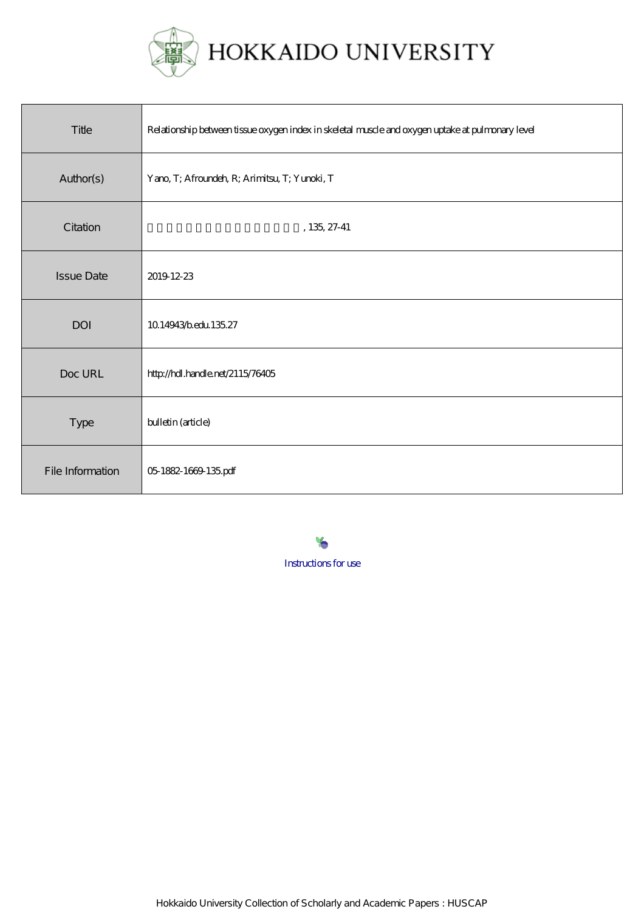

| Title             | Relationship between tissue oxygen index in skeletal muscle and oxygen uptake at pulmonary level |
|-------------------|--------------------------------------------------------------------------------------------------|
| Author(s)         | Yano, T; Afroundeh, R; Arimitsu, T; Yunoki, T                                                    |
| Citation          | $, 135, 27-41$                                                                                   |
| <b>Issue Date</b> | 2019 12:23                                                                                       |
| <b>DOI</b>        | 1014943bedu 13527                                                                                |
| Doc URL           | http://hdl.handle.net/2115/76405                                                                 |
| Type              | bulletin (article)                                                                               |
| File Information  | 05 1882-1669 135 pdf                                                                             |

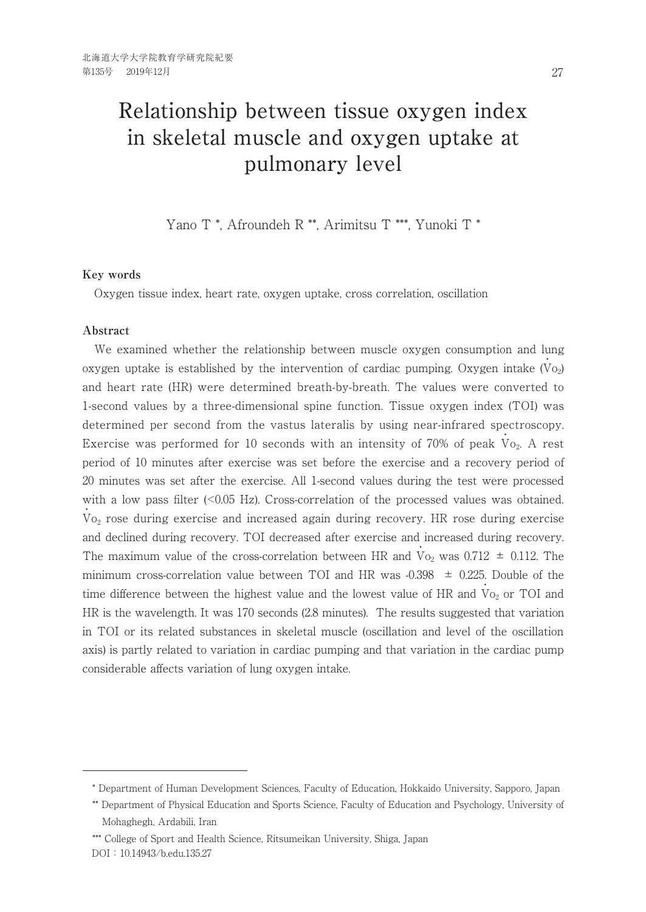# Relationship between tissue oxygen index in skeletal muscle and oxygen uptake at pulmonary level

Yano T \*, Afroundeh R \*\*, Arimitsu T \*\*\*, Yunoki T \*

#### **Key words**

Oxygen tissue index, heart rate, oxygen uptake, cross correlation, oscillation

### **Abstract**

 We examined whether the relationship between muscle oxygen consumption and lung oxygen uptake is established by the intervention of cardiac pumping. Oxygen intake  $(\dot{V}_{02})$ and heart rate (HR) were determined breath-by-breath. The values were converted to 1-second values by a three-dimensional spine function. Tissue oxygen index (TOI) was determined per second from the vastus lateralis by using near-infrared spectroscopy. Exercise was performed for 10 seconds with an intensity of 70% of peak  $\dot{V}_{0_2}$ . A rest period of 10 minutes after exercise was set before the exercise and a recovery period of 20 minutes was set after the exercise. All 1-second values during the test were processed with a low pass filter (<0.05 Hz). Cross-correlation of the processed values was obtained. .<br>Vo<sub>2</sub> rose during exercise and increased again during recovery. HR rose during exercise and declined during recovery. TOI decreased after exercise and increased during recovery. The maximum value of the cross-correlation between HR and  $\dot{V}_{0_2}$  was 0.712  $\pm$  0.112. The minimum cross-correlation value between TOI and HR was  $-0.398 \pm 0.225$ . Double of the time difference between the highest value and the lowest value of HR and  $\dot{V}_{O_2}$  or TOI and HR is the wavelength. It was 170 seconds (2.8 minutes). The results suggested that variation in TOI or its related substances in skeletal muscle (oscillation and level of the oscillation axis) is partly related to variation in cardiac pumping and that variation in the cardiac pump considerable affects variation of lung oxygen intake.

\*\*\* College of Sport and Health Science, Ritsumeikan University, Shiga, Japan DOI:10.14943/b.edu.135.27

<sup>\*</sup> Department of Human Development Sciences, Faculty of Education, Hokkaido University, Sapporo, Japan

<sup>\*\*</sup> Department of Physical Education and Sports Science, Faculty of Education and Psychology, University of Mohaghegh, Ardabili, Iran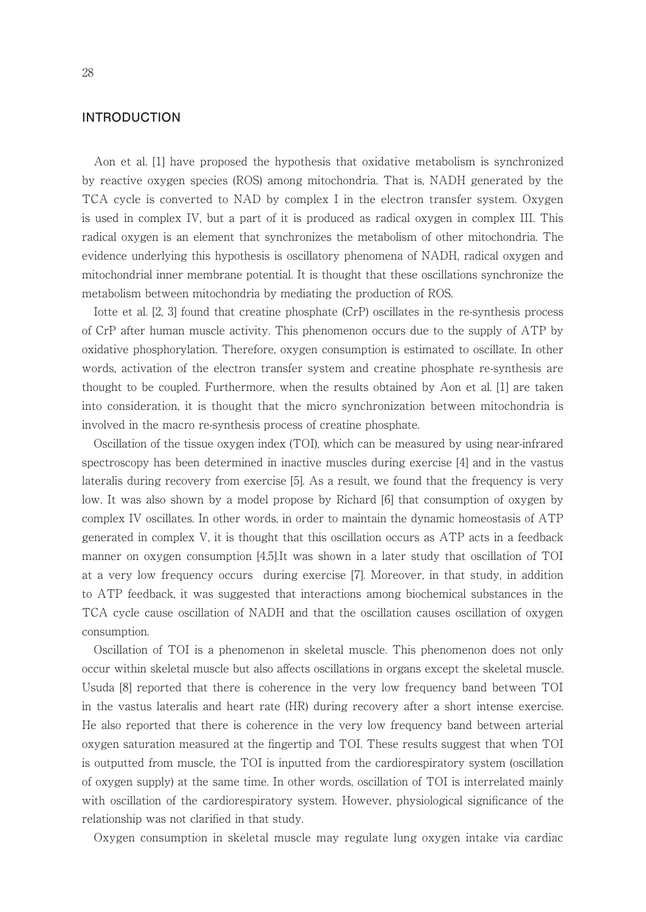## **INTRODUCTION**

 Aon et al. [1] have proposed the hypothesis that oxidative metabolism is synchronized by reactive oxygen species (ROS) among mitochondria. That is, NADH generated by the TCA cycle is converted to NAD by complex I in the electron transfer system. Oxygen is used in complex IV, but a part of it is produced as radical oxygen in complex III. This radical oxygen is an element that synchronizes the metabolism of other mitochondria. The evidence underlying this hypothesis is oscillatory phenomena of NADH, radical oxygen and mitochondrial inner membrane potential. It is thought that these oscillations synchronize the metabolism between mitochondria by mediating the production of ROS.

 Iotte et al. [2, 3] found that creatine phosphate (CrP) oscillates in the re-synthesis process of CrP after human muscle activity. This phenomenon occurs due to the supply of ATP by oxidative phosphorylation. Therefore, oxygen consumption is estimated to oscillate. In other words, activation of the electron transfer system and creatine phosphate re-synthesis are thought to be coupled. Furthermore, when the results obtained by Aon et al. [1] are taken into consideration, it is thought that the micro synchronization between mitochondria is involved in the macro re-synthesis process of creatine phosphate.

 Oscillation of the tissue oxygen index (TOI), which can be measured by using near-infrared spectroscopy has been determined in inactive muscles during exercise [4] and in the vastus lateralis during recovery from exercise [5]. As a result, we found that the frequency is very low. It was also shown by a model propose by Richard [6] that consumption of oxygen by complex IV oscillates. In other words, in order to maintain the dynamic homeostasis of ATP generated in complex V, it is thought that this oscillation occurs as ATP acts in a feedback manner on oxygen consumption [4,5].It was shown in a later study that oscillation of TOI at a very low frequency occurs during exercise [7]. Moreover, in that study, in addition to ATP feedback, it was suggested that interactions among biochemical substances in the TCA cycle cause oscillation of NADH and that the oscillation causes oscillation of oxygen consumption.

 Oscillation of TOI is a phenomenon in skeletal muscle. This phenomenon does not only occur within skeletal muscle but also affects oscillations in organs except the skeletal muscle. Usuda [8] reported that there is coherence in the very low frequency band between TOI in the vastus lateralis and heart rate (HR) during recovery after a short intense exercise. He also reported that there is coherence in the very low frequency band between arterial oxygen saturation measured at the fingertip and TOI. These results suggest that when TOI is outputted from muscle, the TOI is inputted from the cardiorespiratory system (oscillation of oxygen supply) at the same time. In other words, oscillation of TOI is interrelated mainly with oscillation of the cardiorespiratory system. However, physiological significance of the relationship was not clarified in that study.

Oxygen consumption in skeletal muscle may regulate lung oxygen intake via cardiac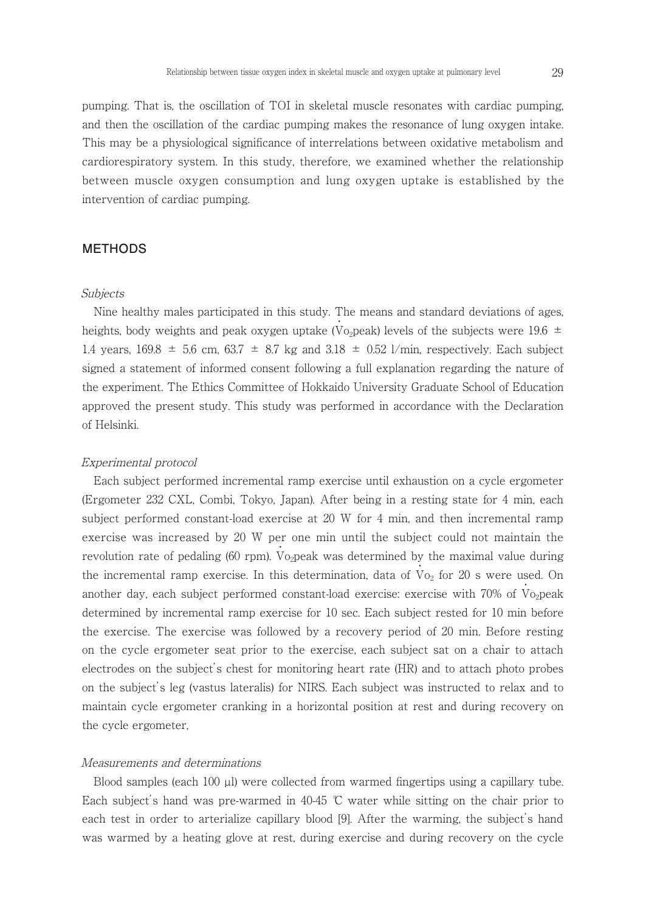pumping. That is, the oscillation of TOI in skeletal muscle resonates with cardiac pumping, and then the oscillation of the cardiac pumping makes the resonance of lung oxygen intake. This may be a physiological significance of interrelations between oxidative metabolism and cardiorespiratory system. In this study, therefore, we examined whether the relationship between muscle oxygen consumption and lung oxygen uptake is established by the intervention of cardiac pumping.

## **METHODS**

#### Subjects

 Nine healthy males participated in this study. The means and standard deviations of ages, heights, body weights and peak oxygen uptake (Vo<sub>2</sub>peak) levels of the subjects were 19.6  $\pm$ 1.4 years,  $169.8 \pm 5.6$  cm,  $63.7 \pm 8.7$  kg and  $3.18 \pm 0.52$  l/min, respectively. Each subject signed a statement of informed consent following a full explanation regarding the nature of the experiment. The Ethics Committee of Hokkaido University Graduate School of Education approved the present study. This study was performed in accordance with the Declaration of Helsinki.

#### Experimental protocol

 Each subject performed incremental ramp exercise until exhaustion on a cycle ergometer (Ergometer 232 CXL, Combi, Tokyo, Japan). After being in a resting state for 4 min, each subject performed constant-load exercise at 20 W for 4 min, and then incremental ramp exercise was increased by 20 W per one min until the subject could not maintain the revolution rate of pedaling (60 rpm). Vo<sub>2</sub>peak was determined by the maximal value during the incremental ramp exercise. In this determination, data of  $\dot{V}_{O_2}$  for 20 s were used. On another day, each subject performed constant-load exercise: exercise with  $70\%$  of Vo<sub>2</sub>peak determined by incremental ramp exercise for 10 sec. Each subject rested for 10 min before the exercise. The exercise was followed by a recovery period of 20 min. Before resting on the cycle ergometer seat prior to the exercise, each subject sat on a chair to attach electrodes on the subject's chest for monitoring heart rate (HR) and to attach photo probes on the subject's leg (vastus lateralis) for NIRS. Each subject was instructed to relax and to maintain cycle ergometer cranking in a horizontal position at rest and during recovery on the cycle ergometer,

#### Measurements and determinations

Blood samples (each 100 µl) were collected from warmed fingertips using a capillary tube. Each subject's hand was pre-warmed in  $40-45$  °C water while sitting on the chair prior to each test in order to arterialize capillary blood [9]. After the warming, the subject's hand was warmed by a heating glove at rest, during exercise and during recovery on the cycle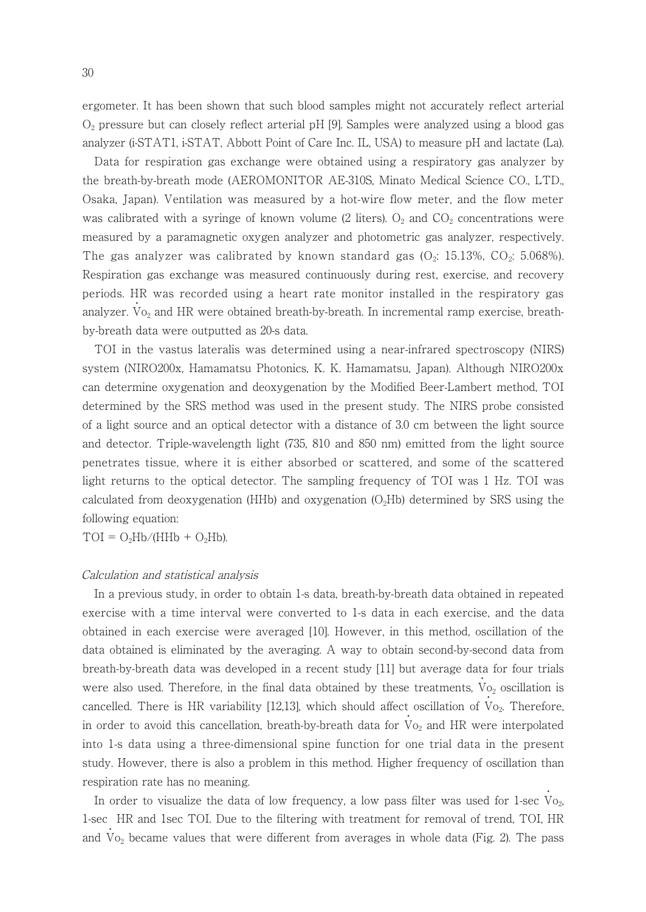ergometer. It has been shown that such blood samples might not accurately reflect arterial  $O<sub>2</sub>$  pressure but can closely reflect arterial pH [9]. Samples were analyzed using a blood gas analyzer (i-STAT1, i-STAT, Abbott Point of Care Inc. IL, USA) to measure pH and lactate (La).

 Data for respiration gas exchange were obtained using a respiratory gas analyzer by the breath-by-breath mode (AEROMONITOR AE-310S, Minato Medical Science CO., LTD., Osaka, Japan). Ventilation was measured by a hot-wire flow meter, and the flow meter was calibrated with a syringe of known volume (2 liters).  $O_2$  and  $CO_2$  concentrations were measured by a paramagnetic oxygen analyzer and photometric gas analyzer, respectively. The gas analyzer was calibrated by known standard gas  $(O_2: 15.13\% , CO_2: 5.068\%)$ . Respiration gas exchange was measured continuously during rest, exercise, and recovery periods. HR was recorded using a heart rate monitor installed in the respiratory gas analyzer.  $\mathrm{Vo}_2$  and HR were obtained breath-by-breath. In incremental ramp exercise, breath-・ by-breath data were outputted as 20-s data.

 TOI in the vastus lateralis was determined using a near-infrared spectroscopy (NIRS) system (NIRO200x, Hamamatsu Photonics, K. K. Hamamatsu, Japan). Although NIRO200x can determine oxygenation and deoxygenation by the Modified Beer-Lambert method, TOI determined by the SRS method was used in the present study. The NIRS probe consisted of a light source and an optical detector with a distance of 3.0 cm between the light source and detector. Triple-wavelength light (735, 810 and 850 nm) emitted from the light source penetrates tissue, where it is either absorbed or scattered, and some of the scattered light returns to the optical detector. The sampling frequency of TOI was 1 Hz. TOI was calculated from deoxygenation (HHb) and oxygenation  $(O<sub>2</sub>Hb)$  determined by SRS using the following equation:

 $TOI = O<sub>2</sub>Hb/(HHb + O<sub>2</sub>Hb).$ 

#### Calculation and statistical analysis

 In a previous study, in order to obtain 1-s data, breath-by-breath data obtained in repeated exercise with a time interval were converted to 1-s data in each exercise, and the data obtained in each exercise were averaged [10]. However, in this method, oscillation of the data obtained is eliminated by the averaging. A way to obtain second-by-second data from breath-by-breath data was developed in a recent study [11] but average data for four trials were also used. Therefore, in the final data obtained by these treatments,  $\dot{V}_{0_2}$  oscillation is cancelled. There is HR variability [12,13], which should affect oscillation of  $V_{Q_2}$ . Therefore, in order to avoid this cancellation, breath-by-breath data for  $\dot{V}_{O_2}$  and HR were interpolated into 1-s data using a three-dimensional spine function for one trial data in the present study. However, there is also a problem in this method. Higher frequency of oscillation than respiration rate has no meaning.

In order to visualize the data of low frequency, a low pass filter was used for 1-sec  $V_{Q_2}$ , 1-sec HR and 1sec TOI. Due to the filtering with treatment for removal of trend, TOI, HR and  $V_{O_2}$  became values that were different from averages in whole data (Fig. 2). The pass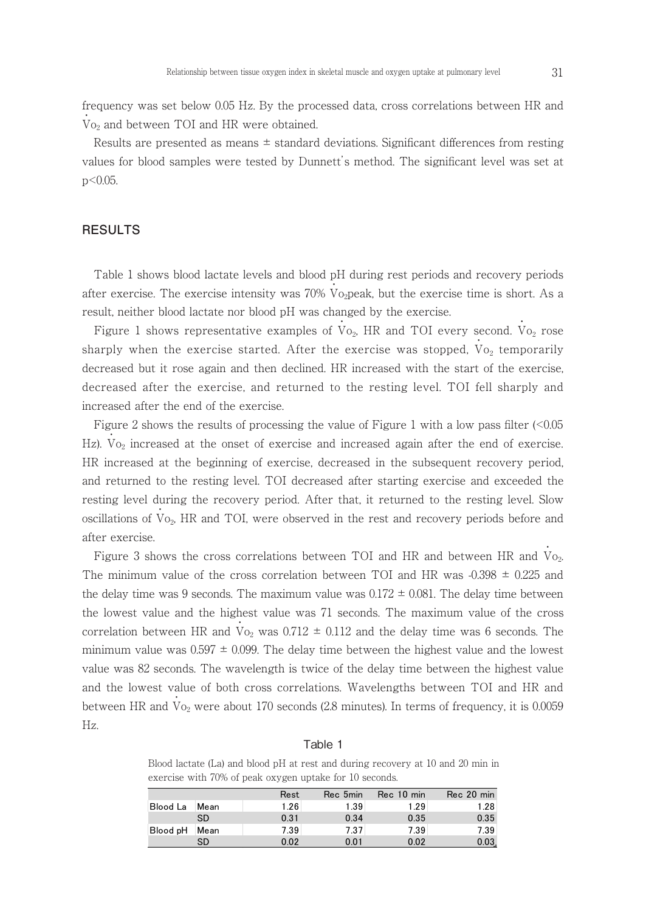frequency was set below 0.05 Hz. By the processed data, cross correlations between HR and  $\dot{V}_{O_2}$  and between TOI and HR were obtained.

 Results are presented as means ± standard deviations. Significant differences from resting values for blood samples were tested by Dunnett's method. The significant level was set at p<0.05.

## **RESULTS**

 Table 1 shows blood lactate levels and blood pH during rest periods and recovery periods after exercise. The exercise intensity was  $70\%$  Vo<sub>2</sub>peak, but the exercise time is short. As a result, neither blood lactate nor blood pH was changed by the exercise.

Figure 1 shows representative examples of  $\overrightarrow{V}_{O_2}$ , HR and TOI every second.  $\overrightarrow{V}_{O_2}$  rose sharply when the exercise started. After the exercise was stopped,  $\rm{\dot{V}o_{2}}$  temporarily decreased but it rose again and then declined. HR increased with the start of the exercise, decreased after the exercise, and returned to the resting level. TOI fell sharply and increased after the end of the exercise.

Figure 2 shows the results of processing the value of Figure 1 with a low pass filter (<0.05 Hz).  $V_{\text{O}_2}$  increased at the onset of exercise and increased again after the end of exercise. HR increased at the beginning of exercise, decreased in the subsequent recovery period, and returned to the resting level. TOI decreased after starting exercise and exceeded the resting level during the recovery period. After that, it returned to the resting level. Slow oscillations of  $\dot{V}_{O_2}$ , HR and TOI, were observed in the rest and recovery periods before and after exercise.

Figure 3 shows the cross correlations between TOI and HR and between HR and  $\dot{V}_{Q_2}$ . The minimum value of the cross correlation between TOI and HR was  $-0.398 \pm 0.225$  and the delay time was 9 seconds. The maximum value was  $0.172 \pm 0.081$ . The delay time between the lowest value and the highest value was 71 seconds. The maximum value of the cross correlation between HR and  $V_{O_2}$  was  $0.712 \pm 0.112$  and the delay time was 6 seconds. The minimum value was  $0.597 \pm 0.099$ . The delay time between the highest value and the lowest value was 82 seconds. The wavelength is twice of the delay time between the highest value and the lowest value of both cross correlations. Wavelengths between TOI and HR and between HR and  $V_{\text{O}_2}$  were about 170 seconds (2.8 minutes). In terms of frequency, it is 0.0059 Hz.

### Table 1

Blood lactate (La) and blood pH at rest and during recovery at 10 and 20 min in exercise with 70% of peak oxygen uptake for 10 seconds. exercise with 70% of peak oxygen uptake for 10 seconds.

|                 |      | Rest | Rec 5min | Rec 10 min | Rec 20 min |
|-----------------|------|------|----------|------------|------------|
| <b>Blood La</b> | Mean | 1.26 | 1.39     | 1.29       | 1.28       |
|                 | SD   | 0.31 | 0.34     | 0.35       | 0.35       |
| Blood pH        | Mean | 7.39 | 7.37     | 7.39       | 7.39       |
|                 | SD   | 0.02 | 0.01     | 0.02       | 0.03.      |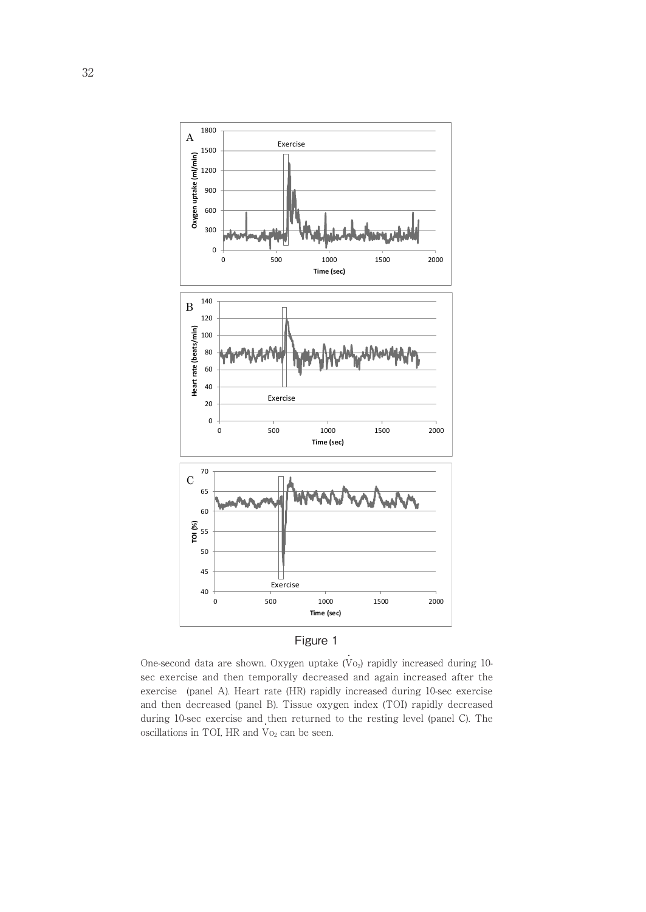



One-second data are shown. Oxygen uptake  $(V<sub>O2</sub>)$  rapidly increased during 10sec exercise and then temporally decreased and again increased after the (panel B). Tissue oxygen index (TOI) rapidly decreased during 10-sec exercise and then and then decreased (panel B). Tissue oxygen index (TOI) rapidly decreased during 10-sec exercise and then returned to the resting level (panel C). The exercise (panel A). Heart rate (HR) rapidly increased during 10-sec exercise oscillations in TOI, HR and  $\dot{V}_{O_2}$  can be seen.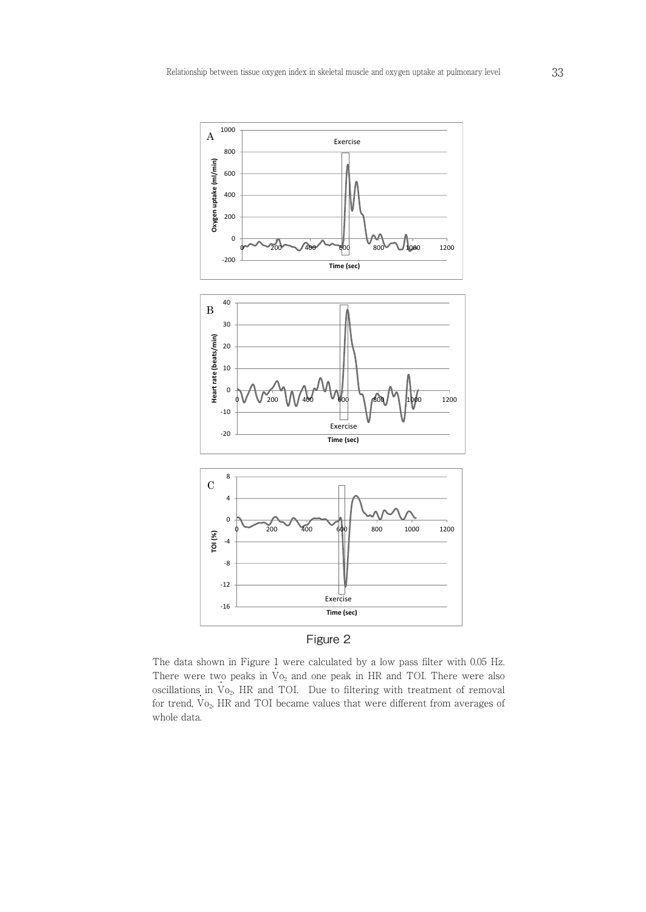



The data shown in Figure 1 were calculated by a low pass filter with  $0.05$  Hz. The data shown in Figure  $\frac{1}{2}$  were calculated by a low pass lifter with 0.00 Hz.<br>There were two peaks in  $V_{02}$  and one peak in HR and TOI. There were also oscillations in  $V_{O_2}$ , HR and TOI. Due to filtering with treatment of removal for trend,  $\overrightarrow{V}_{O_2}$ , HR and TOI became values that were different from averages of whole data. ted by a low pass filter with  $0.05$  Hz.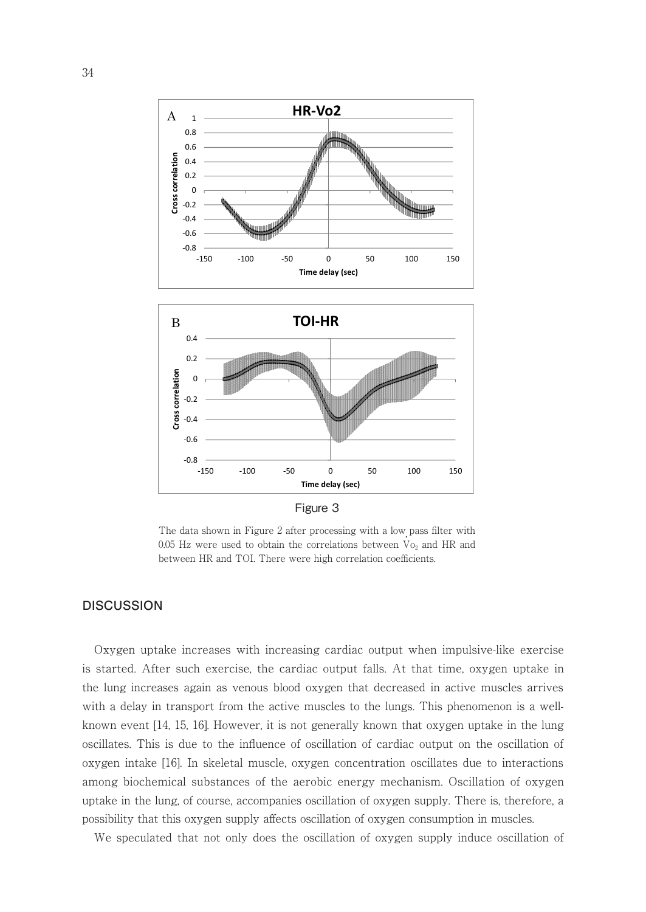

The data shown in Figure 2 after processing with a low pass filter with 0.05 Hz were used to obtain the correlations between  $\overrightarrow{V}_{O_2}$  and HR and between HR and TOI. There were high correlation coefficients.

## **DISCUSSION**

the lung increases again as venous blood oxygen that decreased in active muscles arrives Oxygen uptake increases with increasing cardiac output when impulsive-like exercise is started. After such exercise, the cardiac output falls. At that time, oxygen uptake in with a delay in transport from the active muscles to the lungs. This phenomenon is a wellknown event [14, 15, 16]. However, it is not generally known that oxygen uptake in the lung oscillates. This is due to the influence of oscillation of cardiac output on the oscillation of oxygen intake [16]. In skeletal muscle, oxygen concentration oscillates due to interactions among biochemical substances of the aerobic energy mechanism. Oscillation of oxygen uptake in the lung, of course, accompanies oscillation of oxygen supply. There is, therefore, a possibility that this oxygen supply affects oscillation of oxygen consumption in muscles.

We speculated that not only does the oscillation of oxygen supply induce oscillation of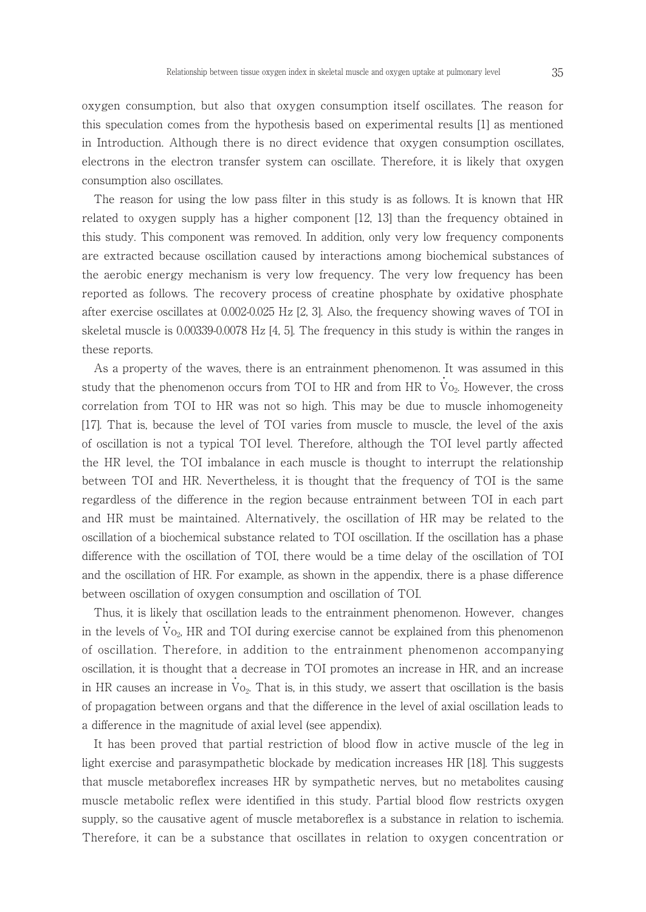oxygen consumption, but also that oxygen consumption itself oscillates. The reason for this speculation comes from the hypothesis based on experimental results [1] as mentioned in Introduction. Although there is no direct evidence that oxygen consumption oscillates, electrons in the electron transfer system can oscillate. Therefore, it is likely that oxygen consumption also oscillates.

 The reason for using the low pass filter in this study is as follows. It is known that HR related to oxygen supply has a higher component [12, 13] than the frequency obtained in this study. This component was removed. In addition, only very low frequency components are extracted because oscillation caused by interactions among biochemical substances of the aerobic energy mechanism is very low frequency. The very low frequency has been reported as follows. The recovery process of creatine phosphate by oxidative phosphate after exercise oscillates at 0.002-0.025 Hz [2, 3]. Also, the frequency showing waves of TOI in skeletal muscle is 0.00339-0.0078 Hz [4, 5]. The frequency in this study is within the ranges in these reports.

 As a property of the waves, there is an entrainment phenomenon. It was assumed in this study that the phenomenon occurs from TOI to HR and from HR to  $\rm\dot{V}o_{2}$ . However, the cross correlation from TOI to HR was not so high. This may be due to muscle inhomogeneity [17]. That is, because the level of TOI varies from muscle to muscle, the level of the axis of oscillation is not a typical TOI level. Therefore, although the TOI level partly affected the HR level, the TOI imbalance in each muscle is thought to interrupt the relationship between TOI and HR. Nevertheless, it is thought that the frequency of TOI is the same regardless of the difference in the region because entrainment between TOI in each part and HR must be maintained. Alternatively, the oscillation of HR may be related to the oscillation of a biochemical substance related to TOI oscillation. If the oscillation has a phase difference with the oscillation of TOI, there would be a time delay of the oscillation of TOI and the oscillation of HR. For example, as shown in the appendix, there is a phase difference between oscillation of oxygen consumption and oscillation of TOI.

 Thus, it is likely that oscillation leads to the entrainment phenomenon. However, changes in the levels of  $\dot{V}_{O_2}$ , HR and TOI during exercise cannot be explained from this phenomenon of oscillation. Therefore, in addition to the entrainment phenomenon accompanying oscillation, it is thought that a decrease in TOI promotes an increase in HR, and an increase in HR causes an increase in  $\dot{V}_{0_2}$ . That is, in this study, we assert that oscillation is the basis of propagation between organs and that the difference in the level of axial oscillation leads to a difference in the magnitude of axial level (see appendix).

 It has been proved that partial restriction of blood flow in active muscle of the leg in light exercise and parasympathetic blockade by medication increases HR [18]. This suggests that muscle metaboreflex increases HR by sympathetic nerves, but no metabolites causing muscle metabolic reflex were identified in this study. Partial blood flow restricts oxygen supply, so the causative agent of muscle metaboreflex is a substance in relation to ischemia. Therefore, it can be a substance that oscillates in relation to oxygen concentration or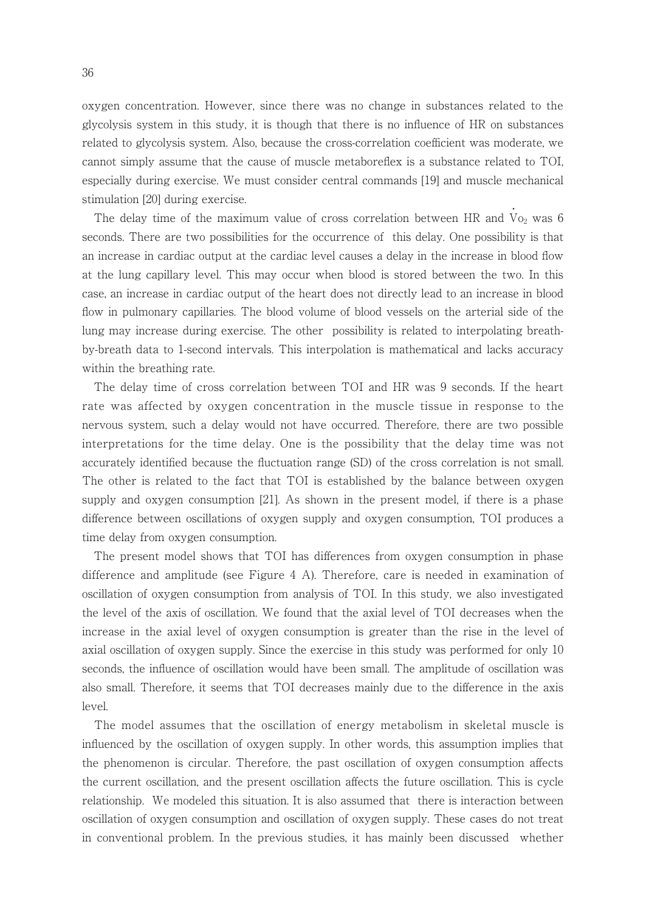oxygen concentration. However, since there was no change in substances related to the glycolysis system in this study, it is though that there is no influence of HR on substances related to glycolysis system. Also, because the cross-correlation coefficient was moderate, we cannot simply assume that the cause of muscle metaboreflex is a substance related to TOI, especially during exercise. We must consider central commands [19] and muscle mechanical stimulation [20] during exercise.

The delay time of the maximum value of cross correlation between HR and  $\dot{V}_{0_2}$  was 6 seconds. There are two possibilities for the occurrence of this delay. One possibility is that an increase in cardiac output at the cardiac level causes a delay in the increase in blood flow at the lung capillary level. This may occur when blood is stored between the two. In this case, an increase in cardiac output of the heart does not directly lead to an increase in blood flow in pulmonary capillaries. The blood volume of blood vessels on the arterial side of the lung may increase during exercise. The other possibility is related to interpolating breathby-breath data to 1-second intervals. This interpolation is mathematical and lacks accuracy within the breathing rate.

 The delay time of cross correlation between TOI and HR was 9 seconds. If the heart rate was affected by oxygen concentration in the muscle tissue in response to the nervous system, such a delay would not have occurred. Therefore, there are two possible interpretations for the time delay. One is the possibility that the delay time was not accurately identified because the fluctuation range (SD) of the cross correlation is not small. The other is related to the fact that TOI is established by the balance between oxygen supply and oxygen consumption [21]. As shown in the present model, if there is a phase difference between oscillations of oxygen supply and oxygen consumption, TOI produces a time delay from oxygen consumption.

 The present model shows that TOI has differences from oxygen consumption in phase difference and amplitude (see Figure 4 A). Therefore, care is needed in examination of oscillation of oxygen consumption from analysis of TOI. In this study, we also investigated the level of the axis of oscillation. We found that the axial level of TOI decreases when the increase in the axial level of oxygen consumption is greater than the rise in the level of axial oscillation of oxygen supply. Since the exercise in this study was performed for only 10 seconds, the influence of oscillation would have been small. The amplitude of oscillation was also small. Therefore, it seems that TOI decreases mainly due to the difference in the axis level.

 The model assumes that the oscillation of energy metabolism in skeletal muscle is influenced by the oscillation of oxygen supply. In other words, this assumption implies that the phenomenon is circular. Therefore, the past oscillation of oxygen consumption affects the current oscillation, and the present oscillation affects the future oscillation. This is cycle relationship. We modeled this situation. It is also assumed that there is interaction between oscillation of oxygen consumption and oscillation of oxygen supply. These cases do not treat in conventional problem. In the previous studies, it has mainly been discussed whether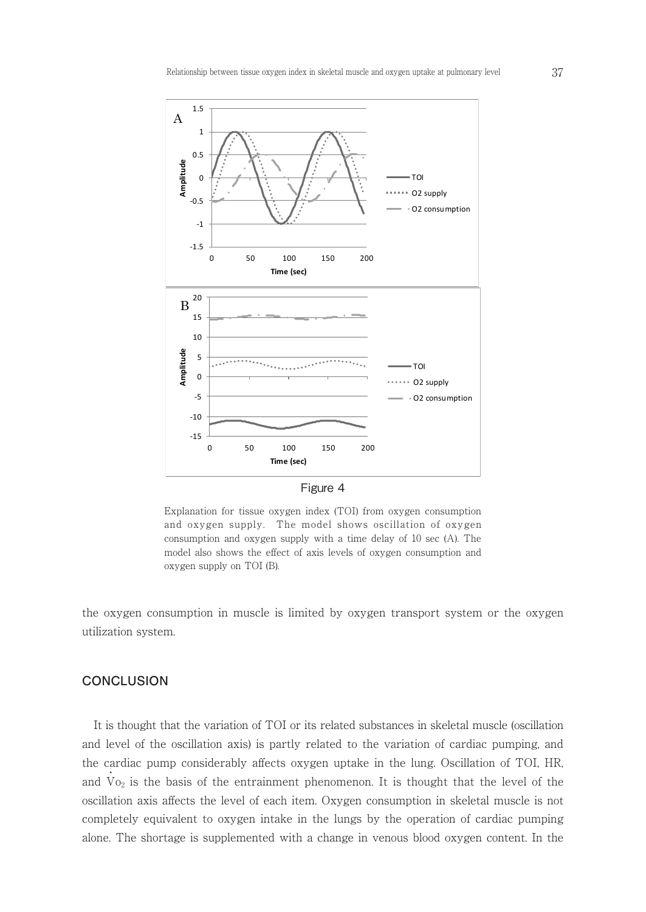

Explanation for tissue oxygen index (TOI) from oxygen consumption explanation for assae oxygen mack (10) noin oxygen consumption<br>and oxygen supply. The model shows oscillation of oxygen consumption and oxygen supply with a time delay of 10 sec (A). The oxygen consumption and oxygen supply on TOI (B). model also shows the effect of axis levels of oxygen consumption and oxygen supply on TOI (B).

the oxygen consumption in muscle is limited by oxygen transport system or the oxygen utilization system.

## **CONCLUSION**

 It is thought that the variation of TOI or its related substances in skeletal muscle (oscillation and level of the oscillation axis) is partly related to the variation of cardiac pumping, and the cardiac pump considerably affects oxygen uptake in the lung. Oscillation of TOI, HR, and  $V_{O_2}$  is the basis of the entrainment phenomenon. It is thought that the level of the oscillation axis affects the level of each item. Oxygen consumption in skeletal muscle is not completely equivalent to oxygen intake in the lungs by the operation of cardiac pumping alone. The shortage is supplemented with a change in venous blood oxygen content. In the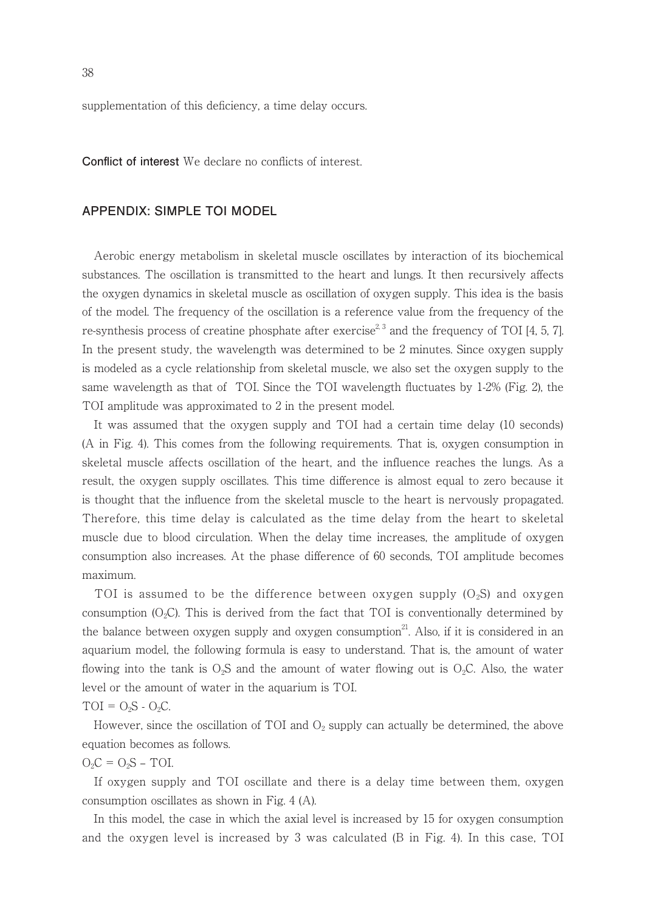supplementation of this deficiency, a time delay occurs.

**Conflict of interest** We declare no conflicts of interest.

## **APPENDIX: SIMPLE TOI MODEL**

 Aerobic energy metabolism in skeletal muscle oscillates by interaction of its biochemical substances. The oscillation is transmitted to the heart and lungs. It then recursively affects the oxygen dynamics in skeletal muscle as oscillation of oxygen supply. This idea is the basis of the model. The frequency of the oscillation is a reference value from the frequency of the re-synthesis process of creatine phosphate after exercise<sup>2, 3</sup> and the frequency of TOI [4, 5, 7]. In the present study, the wavelength was determined to be 2 minutes. Since oxygen supply is modeled as a cycle relationship from skeletal muscle, we also set the oxygen supply to the same wavelength as that of TOI. Since the TOI wavelength fluctuates by 1-2% (Fig. 2), the TOI amplitude was approximated to 2 in the present model.

 It was assumed that the oxygen supply and TOI had a certain time delay (10 seconds) (A in Fig. 4). This comes from the following requirements. That is, oxygen consumption in skeletal muscle affects oscillation of the heart, and the influence reaches the lungs. As a result, the oxygen supply oscillates. This time difference is almost equal to zero because it is thought that the influence from the skeletal muscle to the heart is nervously propagated. Therefore, this time delay is calculated as the time delay from the heart to skeletal muscle due to blood circulation. When the delay time increases, the amplitude of oxygen consumption also increases. At the phase difference of 60 seconds, TOI amplitude becomes maximum.

TOI is assumed to be the difference between oxygen supply  $(O_2S)$  and oxygen consumption  $(O_2C)$ . This is derived from the fact that TOI is conventionally determined by the balance between oxygen supply and oxygen consumption<sup>21</sup>. Also, if it is considered in an aquarium model, the following formula is easy to understand. That is, the amount of water flowing into the tank is  $O_2S$  and the amount of water flowing out is  $O_2C$ . Also, the water level or the amount of water in the aquarium is TOI.

$$
TOI = O_2S - O_2C.
$$

However, since the oscillation of TOI and  $O_2$  supply can actually be determined, the above equation becomes as follows.

 $O_2C = O_2S - TOI$ .

 If oxygen supply and TOI oscillate and there is a delay time between them, oxygen consumption oscillates as shown in Fig. 4 (A).

 In this model, the case in which the axial level is increased by 15 for oxygen consumption and the oxygen level is increased by 3 was calculated (B in Fig. 4). In this case, TOI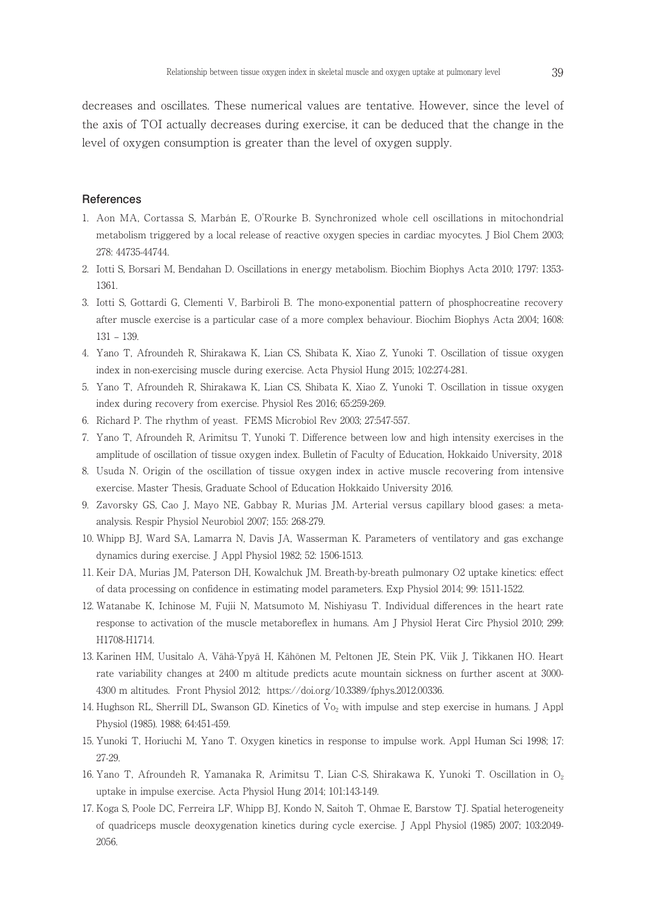decreases and oscillates. These numerical values are tentative. However, since the level of the axis of TOI actually decreases during exercise, it can be deduced that the change in the level of oxygen consumption is greater than the level of oxygen supply.

#### **References**

- 1. Aon MA, Cortassa S, Marbán E, O'Rourke B. Synchronized whole cell oscillations in mitochondrial metabolism triggered by a local release of reactive oxygen species in cardiac myocytes. J Biol Chem 2003; 278: 44735-44744.
- 2. Iotti S, Borsari M, Bendahan D. Oscillations in energy metabolism. Biochim Biophys Acta 2010; 1797: 1353- 1361.
- 3. Iotti S, Gottardi G, Clementi V, Barbiroli B. The mono-exponential pattern of phosphocreatine recovery after muscle exercise is a particular case of a more complex behaviour. Biochim Biophys Acta 2004; 1608: 131 – 139.
- 4. Yano T, Afroundeh R, Shirakawa K, Lian CS, Shibata K, Xiao Z, Yunoki T. Oscillation of tissue oxygen index in non-exercising muscle during exercise. Acta Physiol Hung 2015; 102:274-281.
- 5. Yano T, Afroundeh R, Shirakawa K, Lian CS, Shibata K, Xiao Z, Yunoki T. Oscillation in tissue oxygen index during recovery from exercise. Physiol Res 2016; 65:259-269.
- 6. Richard P. The rhythm of yeast. FEMS Microbiol Rev 2003; 27:547-557.
- 7. Yano T, Afroundeh R, Arimitsu T, Yunoki T. Difference between low and high intensity exercises in the amplitude of oscillation of tissue oxygen index. Bulletin of Faculty of Education, Hokkaido University, 2018
- 8. Usuda N. Origin of the oscillation of tissue oxygen index in active muscle recovering from intensive exercise. Master Thesis, Graduate School of Education Hokkaido University 2016.
- 9. Zavorsky GS, Cao J, Mayo NE, Gabbay R, Murias JM. Arterial versus capillary blood gases: a metaanalysis. Respir Physiol Neurobiol 2007; 155: 268-279.
- 10. Whipp BJ, Ward SA, Lamarra N, Davis JA, Wasserman K. Parameters of ventilatory and gas exchange dynamics during exercise. J Appl Physiol 1982; 52: 1506-1513.
- 11. Keir DA, Murias JM, Paterson DH, Kowalchuk JM. Breath-by-breath pulmonary O2 uptake kinetics: effect of data processing on confidence in estimating model parameters. Exp Physiol 2014; 99: 1511-1522.
- 12. Watanabe K, Ichinose M, Fujii N, Matsumoto M, Nishiyasu T. Individual differences in the heart rate response to activation of the muscle metaboreflex in humans. Am J Physiol Herat Circ Physiol 2010; 299: H1708-H1714.
- 13. Karinen HM, Uusitalo A, Vähä-Ypyä H, Kähönen M, Peltonen JE, Stein PK, Viik J, Tikkanen HO. Heart rate variability changes at 2400 m altitude predicts acute mountain sickness on further ascent at 3000- 4300 m altitudes. Front Physiol 2012; https://doi.org/10.3389/fphys.2012.00336.
- 14. Hughson RL, Sherrill DL, Swanson GD. Kinetics of Vo<sub>2</sub> with impulse and step exercise in humans. J Appl Physiol (1985). 1988; 64:451-459.
- 15. Yunoki T, Horiuchi M, Yano T. Oxygen kinetics in response to impulse work. Appl Human Sci 1998; 17: 27-29.
- 16. Yano T, Afroundeh R, Yamanaka R, Arimitsu T, Lian C-S, Shirakawa K, Yunoki T. Oscillation in O2 uptake in impulse exercise. Acta Physiol Hung 2014; 101:143-149.
- 17. Koga S, Poole DC, Ferreira LF, Whipp BJ, Kondo N, Saitoh T, Ohmae E, Barstow TJ. Spatial heterogeneity of quadriceps muscle deoxygenation kinetics during cycle exercise. J Appl Physiol (1985) 2007; 103:2049- 2056.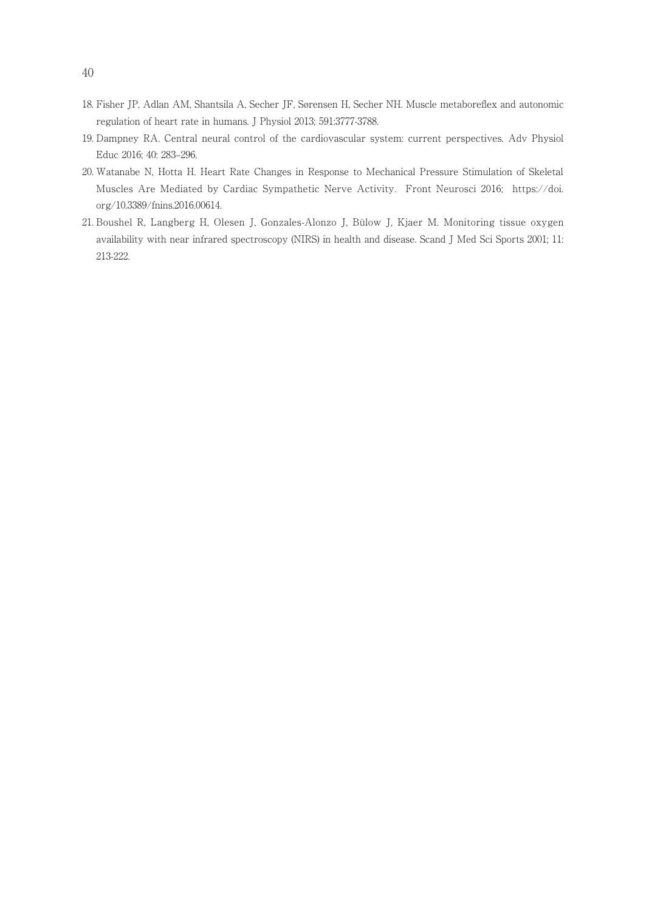- 18. Fisher JP, Adlan AM, Shantsila A, Secher JF, Sørensen H, Secher NH. Muscle metaboreflex and autonomic regulation of heart rate in humans. J Physiol 2013; 591:3777-3788.
- 19. Dampney RA. Central neural control of the cardiovascular system: current perspectives. Adv Physiol Educ 2016; 40: 283–296.
- 20. Watanabe N, Hotta H. Heart Rate Changes in Response to Mechanical Pressure Stimulation of Skeletal Muscles Are Mediated by Cardiac Sympathetic Nerve Activity. Front Neurosci 2016; https://doi. org/10.3389/fnins.2016.00614.
- 21. Boushel R, Langberg H, Olesen J, Gonzales-Alonzo J, Bülow J, Kjaer M. Monitoring tissue oxygen availability with near infrared spectroscopy (NIRS) in health and disease. Scand J Med Sci Sports 2001; 11: 213-222.